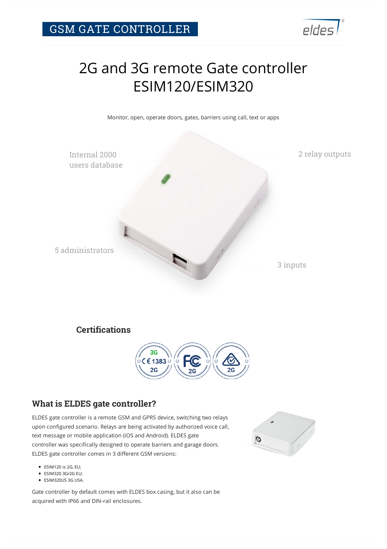

# 2G and 3G remote Gate controller ESIM120/ESIM320

Monitor, open, operate doors, gates, barriers using call, text or apps



### **Certifications**



#### **What is ELDES gate controller?**

ELDES gate controller is a remote GSM and GPRS device, switching two relays upon configured scenario. Relays are being activated by authorized voice call, text message or mobile application (iOS and Android). ELDES gate controller was specifically designed to operate barriers and garage doors. ELDES gate controller comes in 3 different GSM versions:

- ESIM120 is 2G, EU;
- ESIM320 3G/2G EU;
- ESIM320US 3G USA.

Gate controller by default comes with ELDES box casing, but it also can be acquired with IP66 and DIN-rail enclosures.

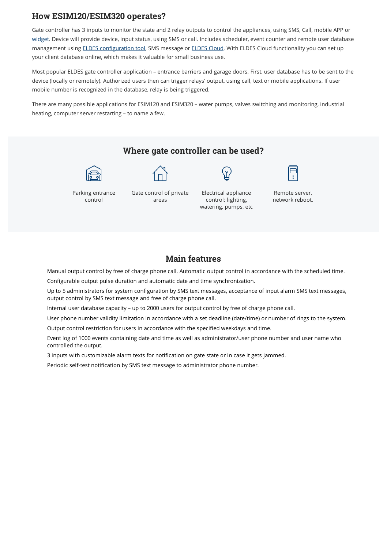#### **How ESIM120/ESIM320 operates?**

Gate controller has 3 inputs to monitor the state and 2 relay outputs to control the appliances, using SMS, Call, mobile APP or [widget.](https://play.google.com/store/apps/details?id=lt.eldes.smartgate.appswidget) Device will provide device, input status, using SMS or call. Includes scheduler, event counter and remote user database management using [ELDES configuration tool,](https://eldesalarms.com/product/configuration-tool/) SMS message or [ELDES Cloud.](https://eldesalarms.com/product/cloud-services/) With ELDES Cloud functionality you can set up your client database online, which makes it valuable for small business use.

Most popular ELDES gate controller application – entrance barriers and garage doors. First, user database has to be sent to the device (locally or remotely). Authorized users then can trigger relays' output, using call, text or mobile applications. If user mobile number is recognized in the database, relay is being triggered.

There are many possible applications for ESIM120 and ESIM320 – water pumps, valves switching and monitoring, industrial heating, computer server restarting – to name a few.



#### **Main features**

Manual output control by free of charge phone call. Automatic output control in accordance with the scheduled time.

Configurable output pulse duration and automatic date and time synchronization.

Up to 5 administrators for system configuration by SMS text messages, acceptance of input alarm SMS text messages, output control by SMS text message and free of charge phone call.

Internal user database capacity – up to 2000 users for output control by free of charge phone call.

User phone number validity limitation in accordance with a set deadline (date/time) or number of rings to the system. Output control restriction for users in accordance with the specified weekdays and time.

Event log of 1000 events containing date and time as well as administrator/user phone number and user name who controlled the output.

3 inputs with customizable alarm texts for notification on gate state or in case it gets jammed.

Periodic self-test notification by SMS text message to administrator phone number.